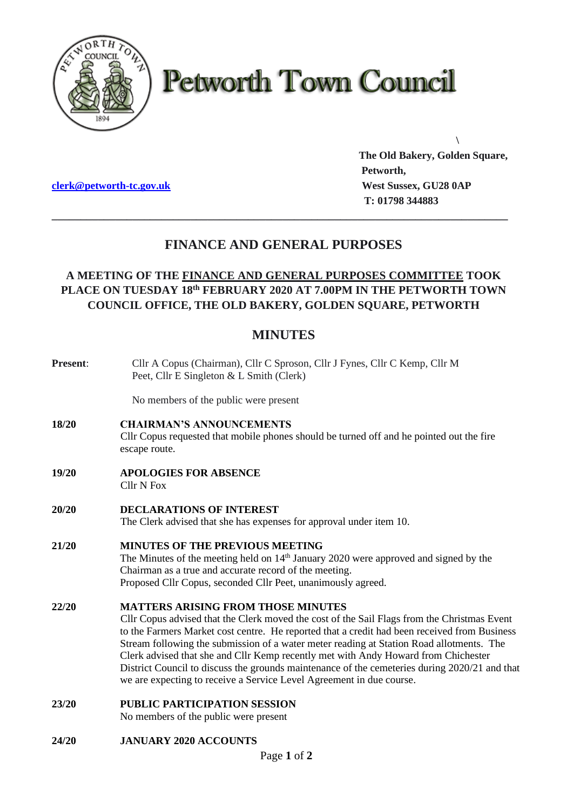

# **Petworth Town Council**

**[clerk@petworth-tc.gov.uk](mailto:clerk@petworth-tc.gov.uk) West Sussex, GU28 0AP**

**The Old Bakery, Golden Square, Petworth, T: 01798 344883**

**\**

## **FINANCE AND GENERAL PURPOSES**

**\_\_\_\_\_\_\_\_\_\_\_\_\_\_\_\_\_\_\_\_\_\_\_\_\_\_\_\_\_\_\_\_\_\_\_\_\_\_\_\_\_\_\_\_\_\_\_\_\_\_\_\_\_\_\_\_\_\_\_\_\_\_\_\_\_\_\_\_\_\_\_\_\_\_\_\_\_\_\_**

### **A MEETING OF THE FINANCE AND GENERAL PURPOSES COMMITTEE TOOK PLACE ON TUESDAY 18 th FEBRUARY 2020 AT 7.00PM IN THE PETWORTH TOWN COUNCIL OFFICE, THE OLD BAKERY, GOLDEN SQUARE, PETWORTH**

## **MINUTES**

| Present: | Cllr A Copus (Chairman), Cllr C Sproson, Cllr J Fynes, Cllr C Kemp, Cllr M<br>Peet, Cllr E Singleton & L Smith (Clerk)                                                                                                                                                                                                                                                                                                                                                                                                                                                                              |
|----------|-----------------------------------------------------------------------------------------------------------------------------------------------------------------------------------------------------------------------------------------------------------------------------------------------------------------------------------------------------------------------------------------------------------------------------------------------------------------------------------------------------------------------------------------------------------------------------------------------------|
|          | No members of the public were present                                                                                                                                                                                                                                                                                                                                                                                                                                                                                                                                                               |
| 18/20    | <b>CHAIRMAN'S ANNOUNCEMENTS</b><br>Cllr Copus requested that mobile phones should be turned off and he pointed out the fire<br>escape route.                                                                                                                                                                                                                                                                                                                                                                                                                                                        |
| 19/20    | <b>APOLOGIES FOR ABSENCE</b><br><b>Cllr N Fox</b>                                                                                                                                                                                                                                                                                                                                                                                                                                                                                                                                                   |
| 20/20    | <b>DECLARATIONS OF INTEREST</b><br>The Clerk advised that she has expenses for approval under item 10.                                                                                                                                                                                                                                                                                                                                                                                                                                                                                              |
| 21/20    | <b>MINUTES OF THE PREVIOUS MEETING</b><br>The Minutes of the meeting held on $14th$ January 2020 were approved and signed by the<br>Chairman as a true and accurate record of the meeting.<br>Proposed Cllr Copus, seconded Cllr Peet, unanimously agreed.                                                                                                                                                                                                                                                                                                                                          |
| 22/20    | <b>MATTERS ARISING FROM THOSE MINUTES</b><br>Cllr Copus advised that the Clerk moved the cost of the Sail Flags from the Christmas Event<br>to the Farmers Market cost centre. He reported that a credit had been received from Business<br>Stream following the submission of a water meter reading at Station Road allotments. The<br>Clerk advised that she and Cllr Kemp recently met with Andy Howard from Chichester<br>District Council to discuss the grounds maintenance of the cemeteries during 2020/21 and that<br>we are expecting to receive a Service Level Agreement in due course. |
| 23/20    | <b>PUBLIC PARTICIPATION SESSION</b><br>No members of the public were present                                                                                                                                                                                                                                                                                                                                                                                                                                                                                                                        |
| 24/20    | <b>JANUARY 2020 ACCOUNTS</b>                                                                                                                                                                                                                                                                                                                                                                                                                                                                                                                                                                        |